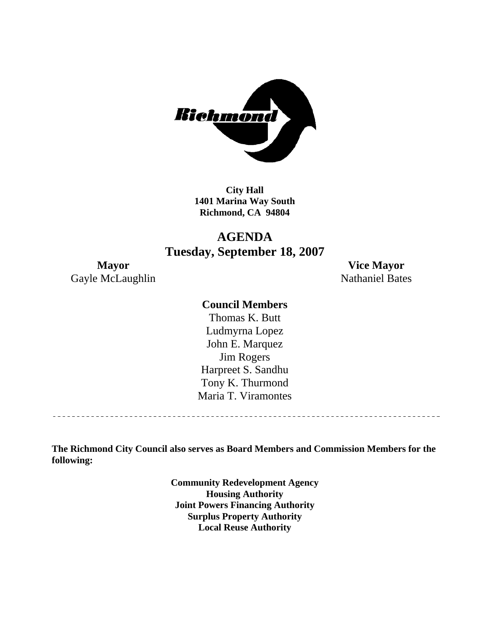

**City Hall 1401 Marina Way South Richmond, CA 94804** 

# **AGENDA Tuesday, September 18, 2007**

Gayle McLaughlin Nathaniel Bates

**Mayor Vice Mayor** 

## **Council Members**

Harpreet S. Sandhu Tony K. Thurmond Maria T. Viramontes Thomas K. Butt Ludmyrna Lopez John E. Marquez Jim Rogers

**The Richmond City Council also serves as Board Members and Commission Members for the following:** 

> **Community Redevelopment Agency Housing Authority Joint Powers Financing Authority Surplus Property Authority Local Reuse Authority**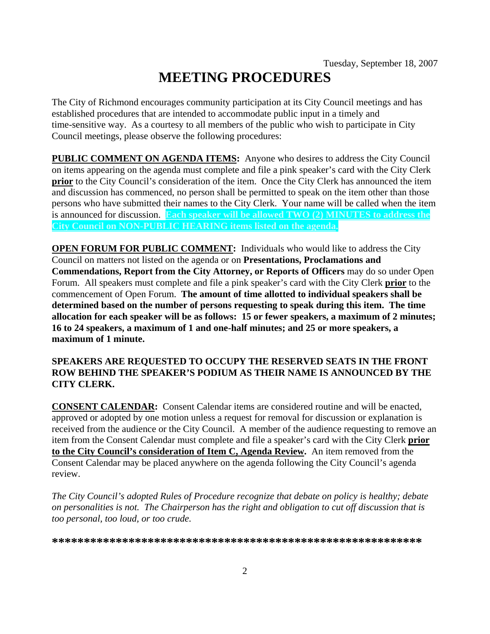# **MEETING PROCEDURES**

The City of Richmond encourages community participation at its City Council meetings and has established procedures that are intended to accommodate public input in a timely and time-sensitive way. As a courtesy to all members of the public who wish to participate in City Council meetings, please observe the following procedures:

**PUBLIC COMMENT ON AGENDA ITEMS:** Anyone who desires to address the City Council on items appearing on the agenda must complete and file a pink speaker's card with the City Clerk **prior** to the City Council's consideration of the item. Once the City Clerk has announced the item and discussion has commenced, no person shall be permitted to speak on the item other than those persons who have submitted their names to the City Clerk. Your name will be called when the item is announced for discussion. **Each speaker will be allowed TWO (2) MINUTES to address the City Council on NON-PUBLIC HEARING items listed on the agenda.** 

**OPEN FORUM FOR PUBLIC COMMENT:** Individuals who would like to address the City Council on matters not listed on the agenda or on **Presentations, Proclamations and Commendations, Report from the City Attorney, or Reports of Officers** may do so under Open Forum. All speakers must complete and file a pink speaker's card with the City Clerk **prior** to the commencement of Open Forum. **The amount of time allotted to individual speakers shall be determined based on the number of persons requesting to speak during this item. The time allocation for each speaker will be as follows: 15 or fewer speakers, a maximum of 2 minutes; 16 to 24 speakers, a maximum of 1 and one-half minutes; and 25 or more speakers, a maximum of 1 minute.** 

#### **SPEAKERS ARE REQUESTED TO OCCUPY THE RESERVED SEATS IN THE FRONT ROW BEHIND THE SPEAKER'S PODIUM AS THEIR NAME IS ANNOUNCED BY THE CITY CLERK.**

**CONSENT CALENDAR:** Consent Calendar items are considered routine and will be enacted, approved or adopted by one motion unless a request for removal for discussion or explanation is received from the audience or the City Council. A member of the audience requesting to remove an item from the Consent Calendar must complete and file a speaker's card with the City Clerk **prior to the City Council's consideration of Item C, Agenda Review.** An item removed from the Consent Calendar may be placed anywhere on the agenda following the City Council's agenda review.

*The City Council's adopted Rules of Procedure recognize that debate on policy is healthy; debate on personalities is not. The Chairperson has the right and obligation to cut off discussion that is too personal, too loud, or too crude.* 

**\*\*\*\*\*\*\*\*\*\*\*\*\*\*\*\*\*\*\*\*\*\*\*\*\*\*\*\*\*\*\*\*\*\*\*\*\*\*\*\*\*\*\*\*\*\*\*\*\*\*\*\*\*\*\*\*\*\***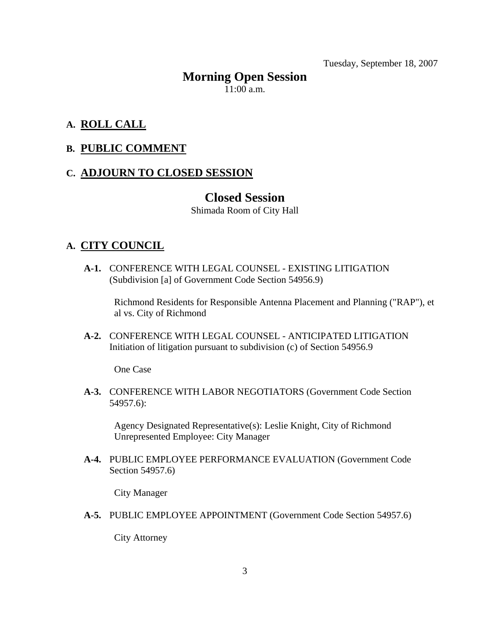Tuesday, September 18, 2007

# **Morning Open Session**

11:00 a.m.

# **A. ROLL CALL**

## **B. PUBLIC COMMENT**

## **C. ADJOURN TO CLOSED SESSION**

# **Closed Session**

Shimada Room of City Hall

## **A. CITY COUNCIL**

 **A-1.** CONFERENCE WITH LEGAL COUNSEL - EXISTING LITIGATION (Subdivision [a] of Government Code Section 54956.9)

Richmond Residents for Responsible Antenna Placement and Planning ("RAP"), et al vs. City of Richmond

 **A-2.** CONFERENCE WITH LEGAL COUNSEL - ANTICIPATED LITIGATION Initiation of litigation pursuant to subdivision (c) of Section 54956.9

One Case

 **A-3.** CONFERENCE WITH LABOR NEGOTIATORS (Government Code Section 54957.6):

Agency Designated Representative(s): Leslie Knight, City of Richmond Unrepresented Employee: City Manager

 **A-4.** PUBLIC EMPLOYEE PERFORMANCE EVALUATION (Government Code Section 54957.6)

City Manager

 **A-5.** PUBLIC EMPLOYEE APPOINTMENT (Government Code Section 54957.6)

City Attorney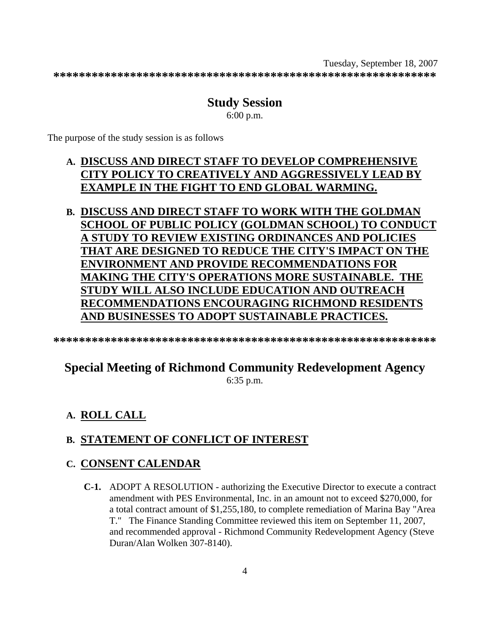Tuesday, September 18, 2007 **\*\*\*\*\*\*\*\*\*\*\*\*\*\*\*\*\*\*\*\*\*\*\*\*\*\*\*\*\*\*\*\*\*\*\*\*\*\*\*\*\*\*\*\*\*\*\*\*\*\*\*\*\*\*\*\*\*\*\*\*** 

#### **Study Session**  6:00 p.m.

The purpose of the study session is as follows

# **A. DISCUSS AND DIRECT STAFF TO DEVELOP COMPREHENSIVE CITY POLICY TO CREATIVELY AND AGGRESSIVELY LEAD BY EXAMPLE IN THE FIGHT TO END GLOBAL WARMING.**

**B. DISCUSS AND DIRECT STAFF TO WORK WITH THE GOLDMAN SCHOOL OF PUBLIC POLICY (GOLDMAN SCHOOL) TO CONDUCT A STUDY TO REVIEW EXISTING ORDINANCES AND POLICIES THAT ARE DESIGNED TO REDUCE THE CITY'S IMPACT ON THE ENVIRONMENT AND PROVIDE RECOMMENDATIONS FOR MAKING THE CITY'S OPERATIONS MORE SUSTAINABLE. THE STUDY WILL ALSO INCLUDE EDUCATION AND OUTREACH RECOMMENDATIONS ENCOURAGING RICHMOND RESIDENTS AND BUSINESSES TO ADOPT SUSTAINABLE PRACTICES.**

**\*\*\*\*\*\*\*\*\*\*\*\*\*\*\*\*\*\*\*\*\*\*\*\*\*\*\*\*\*\*\*\*\*\*\*\*\*\*\*\*\*\*\*\*\*\*\*\*\*\*\*\*\*\*\*\*\*\*\*\*** 

# **Special Meeting of Richmond Community Redevelopment Agency**

6:35 p.m.

# **A. ROLL CALL**

# **B. STATEMENT OF CONFLICT OF INTEREST**

## **C. CONSENT CALENDAR**

 **C-1.** ADOPT A RESOLUTION - authorizing the Executive Director to execute a contract amendment with PES Environmental, Inc. in an amount not to exceed \$270,000, for a total contract amount of \$1,255,180, to complete remediation of Marina Bay "Area T." The Finance Standing Committee reviewed this item on September 11, 2007, and recommended approval - Richmond Community Redevelopment Agency (Steve Duran/Alan Wolken 307-8140).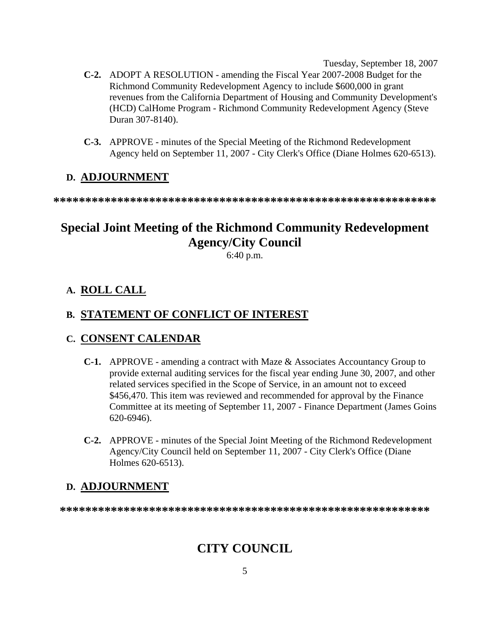Tuesday, September 18, 2007

- **C-2.** ADOPT A RESOLUTION amending the Fiscal Year 2007-2008 Budget for the Richmond Community Redevelopment Agency to include \$600,000 in grant revenues from the California Department of Housing and Community Development's (HCD) CalHome Program - Richmond Community Redevelopment Agency (Steve Duran 307-8140).
- **C-3.** APPROVE minutes of the Special Meeting of the Richmond Redevelopment Agency held on September 11, 2007 - City Clerk's Office (Diane Holmes 620-6513).

# **D. ADJOURNMENT**

**\*\*\*\*\*\*\*\*\*\*\*\*\*\*\*\*\*\*\*\*\*\*\*\*\*\*\*\*\*\*\*\*\*\*\*\*\*\*\*\*\*\*\*\*\*\*\*\*\*\*\*\*\*\*\*\*\*\*\*\*** 

# **Special Joint Meeting of the Richmond Community Redevelopment Agency/City Council**

6:40 p.m.

# **A. ROLL CALL**

## **B. STATEMENT OF CONFLICT OF INTEREST**

## **C. CONSENT CALENDAR**

- **C-1.** APPROVE amending a contract with Maze & Associates Accountancy Group to provide external auditing services for the fiscal year ending June 30, 2007, and other related services specified in the Scope of Service, in an amount not to exceed \$456,470. This item was reviewed and recommended for approval by the Finance Committee at its meeting of September 11, 2007 - Finance Department (James Goins 620-6946).
- **C-2.** APPROVE minutes of the Special Joint Meeting of the Richmond Redevelopment Agency/City Council held on September 11, 2007 - City Clerk's Office (Diane Holmes 620-6513).

# **D. ADJOURNMENT**

**\*\*\*\*\*\*\*\*\*\*\*\*\*\*\*\*\*\*\*\*\*\*\*\*\*\*\*\*\*\*\*\*\*\*\*\*\*\*\*\*\*\*\*\*\*\*\*\*\*\*\*\*\*\*\*\*\*\*** 

# **CITY COUNCIL**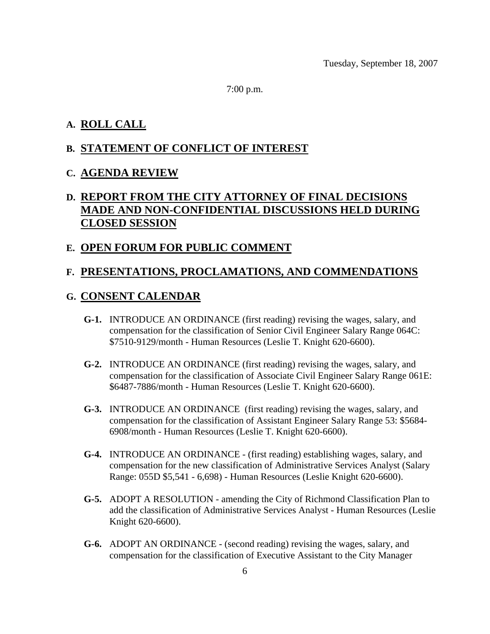7:00 p.m.

#### **A. ROLL CALL**

#### **B. STATEMENT OF CONFLICT OF INTEREST**

#### **C. AGENDA REVIEW**

# **D. REPORT FROM THE CITY ATTORNEY OF FINAL DECISIONS MADE AND NON-CONFIDENTIAL DISCUSSIONS HELD DURING CLOSED SESSION**

#### **E. OPEN FORUM FOR PUBLIC COMMENT**

# **F. PRESENTATIONS, PROCLAMATIONS, AND COMMENDATIONS**

## **G. CONSENT CALENDAR**

- **G-1.** INTRODUCE AN ORDINANCE (first reading) revising the wages, salary, and compensation for the classification of Senior Civil Engineer Salary Range 064C: \$7510-9129/month - Human Resources (Leslie T. Knight 620-6600).
- **G-2.** INTRODUCE AN ORDINANCE (first reading) revising the wages, salary, and compensation for the classification of Associate Civil Engineer Salary Range 061E: \$6487-7886/month - Human Resources (Leslie T. Knight 620-6600).
- **G-3.** INTRODUCE AN ORDINANCE (first reading) revising the wages, salary, and compensation for the classification of Assistant Engineer Salary Range 53: \$5684- 6908/month - Human Resources (Leslie T. Knight 620-6600).
- **G-4.** INTRODUCE AN ORDINANCE (first reading) establishing wages, salary, and compensation for the new classification of Administrative Services Analyst (Salary Range: 055D \$5,541 - 6,698) - Human Resources (Leslie Knight 620-6600).
- **G-5.** ADOPT A RESOLUTION amending the City of Richmond Classification Plan to add the classification of Administrative Services Analyst - Human Resources (Leslie Knight 620-6600).
- **G-6.** ADOPT AN ORDINANCE (second reading) revising the wages, salary, and compensation for the classification of Executive Assistant to the City Manager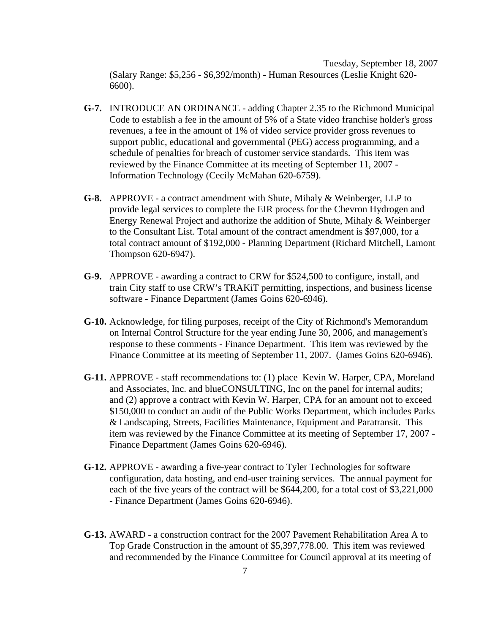Tuesday, September 18, 2007 (Salary Range: \$5,256 - \$6,392/month) - Human Resources (Leslie Knight 620- 6600).

- **G-7.** INTRODUCE AN ORDINANCE adding Chapter 2.35 to the Richmond Municipal Code to establish a fee in the amount of 5% of a State video franchise holder's gross revenues, a fee in the amount of 1% of video service provider gross revenues to support public, educational and governmental (PEG) access programming, and a schedule of penalties for breach of customer service standards. This item was reviewed by the Finance Committee at its meeting of September 11, 2007 - Information Technology (Cecily McMahan 620-6759).
- **G-8.** APPROVE a contract amendment with Shute, Mihaly & Weinberger, LLP to provide legal services to complete the EIR process for the Chevron Hydrogen and Energy Renewal Project and authorize the addition of Shute, Mihaly & Weinberger to the Consultant List. Total amount of the contract amendment is \$97,000, for a total contract amount of \$192,000 - Planning Department (Richard Mitchell, Lamont Thompson 620-6947).
- **G-9.** APPROVE awarding a contract to CRW for \$524,500 to configure, install, and train City staff to use CRW's TRAKiT permitting, inspections, and business license software - Finance Department (James Goins 620-6946).
- **G-10.** Acknowledge, for filing purposes, receipt of the City of Richmond's Memorandum on Internal Control Structure for the year ending June 30, 2006, and management's response to these comments - Finance Department. This item was reviewed by the Finance Committee at its meeting of September 11, 2007. (James Goins 620-6946).
- **G-11.** APPROVE staff recommendations to: (1) place Kevin W. Harper, CPA, Moreland and Associates, Inc. and blueCONSULTING, Inc on the panel for internal audits; and (2) approve a contract with Kevin W. Harper, CPA for an amount not to exceed \$150,000 to conduct an audit of the Public Works Department, which includes Parks & Landscaping, Streets, Facilities Maintenance, Equipment and Paratransit. This item was reviewed by the Finance Committee at its meeting of September 17, 2007 - Finance Department (James Goins 620-6946).
- **G-12.** APPROVE awarding a five-year contract to Tyler Technologies for software configuration, data hosting, and end-user training services. The annual payment for each of the five years of the contract will be \$644,200, for a total cost of \$3,221,000 - Finance Department (James Goins 620-6946).
- **G-13.** AWARD a construction contract for the 2007 Pavement Rehabilitation Area A to Top Grade Construction in the amount of \$5,397,778.00. This item was reviewed and recommended by the Finance Committee for Council approval at its meeting of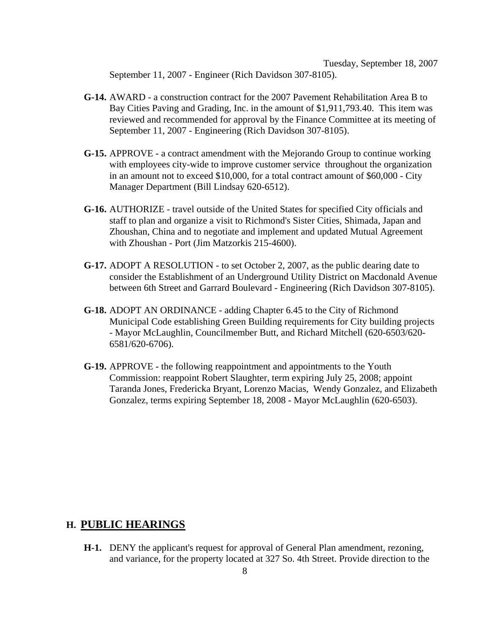Tuesday, September 18, 2007 September 11, 2007 - Engineer (Rich Davidson 307-8105).

- **G-14.** AWARD a construction contract for the 2007 Pavement Rehabilitation Area B to Bay Cities Paving and Grading, Inc. in the amount of \$1,911,793.40. This item was reviewed and recommended for approval by the Finance Committee at its meeting of September 11, 2007 - Engineering (Rich Davidson 307-8105).
- **G-15.** APPROVE a contract amendment with the Mejorando Group to continue working with employees city-wide to improve customer service throughout the organization in an amount not to exceed \$10,000, for a total contract amount of \$60,000 - City Manager Department (Bill Lindsay 620-6512).
- **G-16.** AUTHORIZE travel outside of the United States for specified City officials and staff to plan and organize a visit to Richmond's Sister Cities, Shimada, Japan and Zhoushan, China and to negotiate and implement and updated Mutual Agreement with Zhoushan - Port (Jim Matzorkis 215-4600).
- **G-17.** ADOPT A RESOLUTION to set October 2, 2007, as the public dearing date to consider the Establishment of an Underground Utility District on Macdonald Avenue between 6th Street and Garrard Boulevard - Engineering (Rich Davidson 307-8105).
- **G-18.** ADOPT AN ORDINANCE adding Chapter 6.45 to the City of Richmond Municipal Code establishing Green Building requirements for City building projects - Mayor McLaughlin, Councilmember Butt, and Richard Mitchell (620-6503/620- 6581/620-6706).
- **G-19.** APPROVE the following reappointment and appointments to the Youth Commission: reappoint Robert Slaughter, term expiring July 25, 2008; appoint Taranda Jones, Fredericka Bryant, Lorenzo Macias, Wendy Gonzalez, and Elizabeth Gonzalez, terms expiring September 18, 2008 - Mayor McLaughlin (620-6503).

#### **H. PUBLIC HEARINGS**

 **H-1.** DENY the applicant's request for approval of General Plan amendment, rezoning, and variance, for the property located at 327 So. 4th Street. Provide direction to the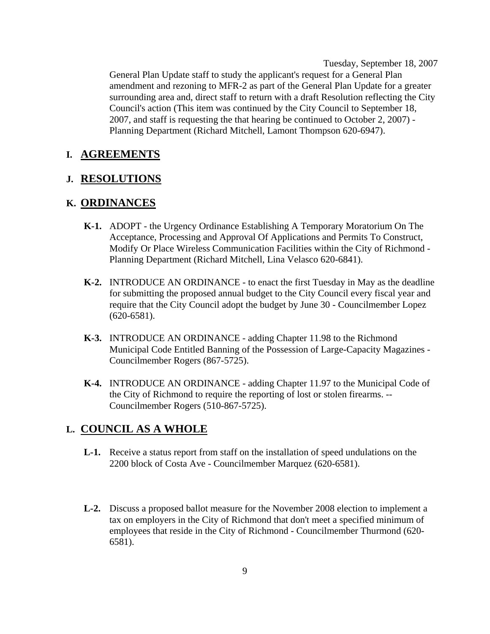Tuesday, September 18, 2007 General Plan Update staff to study the applicant's request for a General Plan amendment and rezoning to MFR-2 as part of the General Plan Update for a greater surrounding area and, direct staff to return with a draft Resolution reflecting the City Council's action (This item was continued by the City Council to September 18, 2007, and staff is requesting the that hearing be continued to October 2, 2007) - Planning Department (Richard Mitchell, Lamont Thompson 620-6947).

#### **I. AGREEMENTS**

#### **J. RESOLUTIONS**

#### **K. ORDINANCES**

- **K-1.** ADOPT the Urgency Ordinance Establishing A Temporary Moratorium On The Acceptance, Processing and Approval Of Applications and Permits To Construct, Modify Or Place Wireless Communication Facilities within the City of Richmond - Planning Department (Richard Mitchell, Lina Velasco 620-6841).
- **K-2.** INTRODUCE AN ORDINANCE to enact the first Tuesday in May as the deadline for submitting the proposed annual budget to the City Council every fiscal year and require that the City Council adopt the budget by June 30 - Councilmember Lopez (620-6581).
- **K-3.** INTRODUCE AN ORDINANCE adding Chapter 11.98 to the Richmond Municipal Code Entitled Banning of the Possession of Large-Capacity Magazines - Councilmember Rogers (867-5725).
- **K-4.** INTRODUCE AN ORDINANCE adding Chapter 11.97 to the Municipal Code of the City of Richmond to require the reporting of lost or stolen firearms. -- Councilmember Rogers (510-867-5725).

## **L. COUNCIL AS A WHOLE**

- **L-1.** Receive a status report from staff on the installation of speed undulations on the 2200 block of Costa Ave - Councilmember Marquez (620-6581).
- **L-2.** Discuss a proposed ballot measure for the November 2008 election to implement a tax on employers in the City of Richmond that don't meet a specified minimum of employees that reside in the City of Richmond - Councilmember Thurmond (620- 6581).